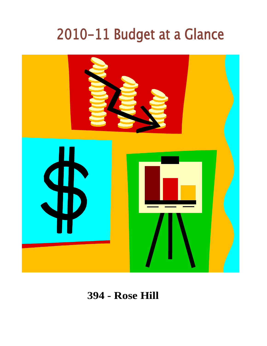# 2010-11 Budget at a Glance



**394 - Rose Hill**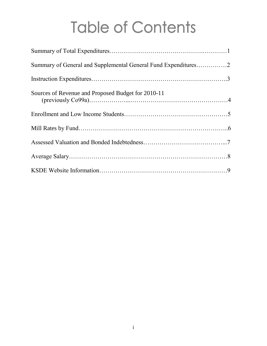# **Table of Contents**

| Summary of General and Supplemental General Fund Expenditures2 |  |
|----------------------------------------------------------------|--|
|                                                                |  |
| Sources of Revenue and Proposed Budget for 2010-11             |  |
|                                                                |  |
|                                                                |  |
|                                                                |  |
|                                                                |  |
|                                                                |  |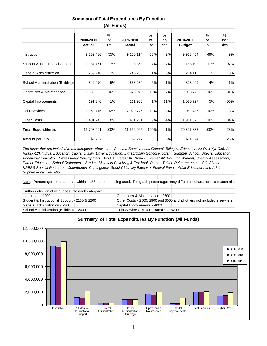| <b>Summary of Total Expenditures By Function</b> |            |      |            |      |       |               |      |       |  |  |  |  |  |
|--------------------------------------------------|------------|------|------------|------|-------|---------------|------|-------|--|--|--|--|--|
| (All Funds)                                      |            |      |            |      |       |               |      |       |  |  |  |  |  |
|                                                  |            |      |            |      |       |               |      |       |  |  |  |  |  |
|                                                  |            | %    |            | %    | %     |               | $\%$ | $\%$  |  |  |  |  |  |
|                                                  | 2008-2009  | of   | 2009-2010  | of   | inc/  | 2010-2011     | of   | inc/  |  |  |  |  |  |
|                                                  | Actual     | Tot  | Actual     | Tot  | dec   | <b>Budget</b> | Tot  | dec   |  |  |  |  |  |
| Instruction                                      | 9,259,430  | 55%  | 9,100,114  | 55%  | $-2%$ | 9,963,454     | 49%  | 9%    |  |  |  |  |  |
| Student & Instructional Support                  | 1,187,761  | 7%   | 1,108,353  | 7%   | $-7%$ | 2,188,102     | 11%  | 97%   |  |  |  |  |  |
| <b>General Administration</b>                    | 259,240    | 2%   | 245,263    | 1%   | $-5%$ | 264,116       | 1%   | 8%    |  |  |  |  |  |
|                                                  |            |      |            |      |       |               |      |       |  |  |  |  |  |
| School Administration (Building)                 | 842,070    | 5%   | 833,234    | 5%   | $-1%$ | 823,499       | 4%   | $-1%$ |  |  |  |  |  |
| Operations & Maintenance                         | 1,682,622  | 10%  | 1,573,045  | 10%  | $-7%$ | 2,053,775     | 10%  | 31%   |  |  |  |  |  |
| Capital Improvements                             | 191,340    | 1%   | 211,960    | 1%   | 11%   | 1,070,727     | 5%   | 405%  |  |  |  |  |  |
|                                                  |            |      |            |      |       |               |      |       |  |  |  |  |  |
| <b>Debt Services</b>                             | 1,969,715  | 12%  | 2,029,745  | 12%  | 3%    | 2,082,485     | 10%  | $3%$  |  |  |  |  |  |
| <b>Other Costs</b>                               | 1,401,743  | 8%   | 1,451,251  | 9%   | 4%    | 1,951,675     | 10%  | 34%   |  |  |  |  |  |
| <b>Total Expenditures</b>                        | 16,793,921 | 100% | 16,552,965 | 100% | $-1%$ | 20,397,833    | 100% | 23%   |  |  |  |  |  |
| Amount per Pupil                                 | \$9,787    |      | \$9,247    |      | $-6%$ | \$11,524      |      | 25%   |  |  |  |  |  |

*The funds that are included in the categories above are: General, Supplemental General, Bilingual Education, At Risk(4yr Old), At Risk(K-12), Virtual Education, Capital Outlay, Driver Education, Extraordinary School Program, Summer School, Special Education, Vocational Education, Professional Development, Bond & Interest #1, Bond & Interest #2, No-Fund Warrant, Special Assessment, Parent Education, School Retirement, Student Materials Revolving & Textbook Rental, Tuition Reimbursement, Gifts/Grants, KPERS Special Retirement Contribution, Contingency, Special Liability Expense, Federal Funds, Adult Education, and Adult Supplemental Education.* Τ

| Note: Percentages on charts are within +-1% due to rounding used. Pie graph percentages may differ from charts for this reason also |  |                                                                         |  |  |  |  |  |  |  |  |
|-------------------------------------------------------------------------------------------------------------------------------------|--|-------------------------------------------------------------------------|--|--|--|--|--|--|--|--|
|                                                                                                                                     |  |                                                                         |  |  |  |  |  |  |  |  |
| Further definition of what goes into each category:                                                                                 |  |                                                                         |  |  |  |  |  |  |  |  |
| Instruction - 1000                                                                                                                  |  | Operations & Maintenance - 2600                                         |  |  |  |  |  |  |  |  |
| Student & Instructional Support - 2100 & 2200                                                                                       |  | Other Costs - 2500, 2900 and 3000 and all others not included elsewhere |  |  |  |  |  |  |  |  |
| General Administration - 2300                                                                                                       |  | Capital Improvements - 4000                                             |  |  |  |  |  |  |  |  |
| School Administration (Building) - 2400                                                                                             |  | Debt Services - 5100 Transfers - 5200                                   |  |  |  |  |  |  |  |  |

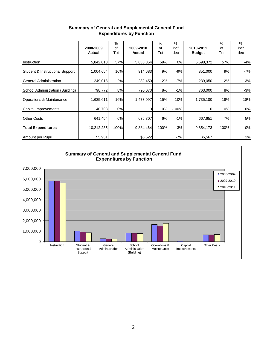|                                  |            | $\%$ |           | %    | %       |               | $\%$ | $\frac{0}{0}$ |
|----------------------------------|------------|------|-----------|------|---------|---------------|------|---------------|
|                                  | 2008-2009  | of   | 2009-2010 | οf   | inc/    | 2010-2011     | οf   | inc/          |
|                                  | Actual     | Tot  | Actual    | Tot  | dec     | <b>Budget</b> | Tot  | dec           |
| Instruction                      | 5,842,018  | 57%  | 5,838,354 | 59%  | $0\%$   | 5,598,372     | 57%  | $-4%$         |
| Student & Instructional Support  | 1,004,654  | 10%  | 914,683   | 9%   | $-9%$   | 851,000       | 9%   | $-7%$         |
| <b>General Administration</b>    | 249,018    | 2%   | 232,450   | 2%   | $-7%$   | 239,050       | 2%   | 3%            |
| School Administration (Building) | 798,772    | 8%   | 790,073   | 8%   | $-1%$   | 763,000       | 8%   | $-3%$         |
| Operations & Maintenance         | 1,635,611  | 16%  | 1,473,097 | 15%  | $-10%$  | 1,735,100     | 18%  | 18%           |
| Capital Improvements             | 40,708     | 0%   |           | 0%   | $-100%$ |               | 0%   | 0%            |
| <b>Other Costs</b>               | 641,454    | 6%   | 635,807   | 6%   | $-1%$   | 667,651       | 7%   | 5%            |
| <b>Total Expenditures</b>        | 10,212,235 | 100% | 9,884,464 | 100% | $-3%$   | 9,854,173     | 100% | 0%            |
| Amount per Pupil                 | \$5,951    |      | \$5,522   |      | $-7%$   | \$5,567       |      | 1%            |

#### **Summary of General and Supplemental General Fund Expenditures by Function**

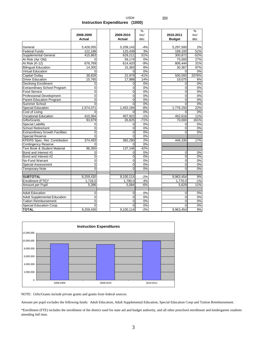#### USD# 394 **Instruction Expenditures (1000)**

| 2008-2009<br>2009-2010<br>2010-2011<br>inc/<br>inc/<br>Actual<br>Actual<br>dec<br><b>Budget</b><br>dec<br>2%<br>General<br>5,426,055<br>5,209,143<br>-4%<br>5,297,500<br><b>Federal Funds</b><br>125,439<br>3%<br>51%<br>122,188<br>189,100<br><b>Supplemental General</b><br>629,211<br>51%<br>$-52%$<br>415,963<br>300.872<br>At Risk (4yr Old)<br>0%<br>75,000<br>27%<br>59,174<br>$-9%$<br>At Risk (K-12)<br>676,769<br>614,420<br>806,444<br>31%<br><b>Bilingual Education</b><br>8%<br>97%<br>14,305<br>15,383<br>30,367<br><b>Virtual Education</b><br>0%<br>0%<br>$\Omega$<br>$\Omega$<br>$-41%$<br>38,828<br>22,979<br>500,000<br>2076%<br>Capital Outlay<br><b>Driver Education</b><br>17,988<br>14%<br>19,075<br>6%<br>15,765<br><b>Declining Enrollment</b><br>$0\%$<br>$0\%$<br>$\Omega$<br>0<br>0<br>$\Omega$<br>$0\%$<br>Extraordinary School Program<br>$\mathbf 0$<br>0%<br>$\Omega$<br>0%<br><b>Food Service</b><br>$\mathbf 0$<br>0%<br>0<br>0<br><b>Professional Development</b><br>$0\%$<br>$\Omega$<br>$\mathbf 0$<br>0%<br>$\mathbf 0$<br>$\Omega$<br>0%<br>0%<br>Parent Education Program<br>0<br>0<br>0%<br>$0\%$<br>Summer School<br>$\Omega$<br>$\Omega$<br>$-8%$<br>22%<br>Special Education<br>1,574,371<br>1,452,194<br>1,776,150<br>0%<br>0%<br>Cost of Living<br>$\Omega$<br>$\Omega$<br>11%<br><b>Vocational Education</b><br>407,922<br>$-1%$<br>452,616<br>410,364<br>Gifts/Grants<br>161%<br>93,979<br>26,825<br>$-71%$<br>70,000<br>0%<br><b>Special Liability</b><br>0%<br>$\Omega$<br>0<br>0<br>0%<br><b>School Retirement</b><br>0<br>$\mathbf 0$<br>0%<br>0<br><b>Extraordinary Growth Facilities</b><br>0<br>0%<br>0%<br>0<br>0<br>$\Omega$<br>0%<br><b>Special Reserve</b><br>$\Omega$<br><b>KPERS Spec. Ret. Contribution</b><br>2%<br>374,493<br>17%<br>382,290<br>446.330<br>0%<br><b>Contingency Reserve</b><br>0<br>Text Book & Student Material<br>137,146<br>42%<br>96,350<br>Bond and Interest #1<br>0%<br>$\mathbf 0$<br>0%<br>0<br>0<br>$0\%$<br>Bond and Interest #2<br>0<br>0%<br>0<br>$\mathbf 0$<br>$\overline{0}$<br>0%<br>$0\%$<br><b>No-Fund Warrant</b><br>0<br>$\mathbf 0$<br>$\overline{0}$<br>$0\%$<br>0<br>$\mathbf 0$<br>0%<br><b>Special Assessment</b><br>$\overline{0}$<br>$0\%$<br>0%<br><b>Temporary Note</b><br>$\Omega$<br>$\Omega$<br><b>SUBTOTAL</b><br>9%<br>$-2%$<br>9,963,454<br>9,259,430<br>9,100,114<br>Enrollment (FTE)*<br>1,790.0<br>4%<br>$-1%$<br>1,716.0<br>1,770.0<br>11%<br>$-6%$<br>Amount per Pupil<br>5,396<br>5,084<br>5,629<br><b>Adult Education</b><br>0%<br>0%<br>0<br>0<br>0<br><b>Adult Supplemental Education</b><br>0<br>$\mathbf 0$<br>0%<br>$\mathbf 0$<br>0%<br>$0\%$<br>$\overline{0\%}$<br><b>Tuition Reimbursement</b><br>$\Omega$<br>$\Omega$<br>$\Omega$<br>0%<br><b>Special Education Coop</b><br>0%<br>$\Omega$<br>$\Omega$<br>9%<br><b>TOTAL</b><br>9,259,430<br>$-2%$<br>9,100,114<br>9,963,454 |  |  | % |  | % |
|------------------------------------------------------------------------------------------------------------------------------------------------------------------------------------------------------------------------------------------------------------------------------------------------------------------------------------------------------------------------------------------------------------------------------------------------------------------------------------------------------------------------------------------------------------------------------------------------------------------------------------------------------------------------------------------------------------------------------------------------------------------------------------------------------------------------------------------------------------------------------------------------------------------------------------------------------------------------------------------------------------------------------------------------------------------------------------------------------------------------------------------------------------------------------------------------------------------------------------------------------------------------------------------------------------------------------------------------------------------------------------------------------------------------------------------------------------------------------------------------------------------------------------------------------------------------------------------------------------------------------------------------------------------------------------------------------------------------------------------------------------------------------------------------------------------------------------------------------------------------------------------------------------------------------------------------------------------------------------------------------------------------------------------------------------------------------------------------------------------------------------------------------------------------------------------------------------------------------------------------------------------------------------------------------------------------------------------------------------------------------------------------------------------------------------------------------------------------------------------------------------------------------------------------------------------------------------------------------------------------------------------------------------------------------------------------------------------------------------------------------------------------------------------------------------------------------------------------------------------------------------------------------------------|--|--|---|--|---|
|                                                                                                                                                                                                                                                                                                                                                                                                                                                                                                                                                                                                                                                                                                                                                                                                                                                                                                                                                                                                                                                                                                                                                                                                                                                                                                                                                                                                                                                                                                                                                                                                                                                                                                                                                                                                                                                                                                                                                                                                                                                                                                                                                                                                                                                                                                                                                                                                                                                                                                                                                                                                                                                                                                                                                                                                                                                                                                                  |  |  |   |  |   |
|                                                                                                                                                                                                                                                                                                                                                                                                                                                                                                                                                                                                                                                                                                                                                                                                                                                                                                                                                                                                                                                                                                                                                                                                                                                                                                                                                                                                                                                                                                                                                                                                                                                                                                                                                                                                                                                                                                                                                                                                                                                                                                                                                                                                                                                                                                                                                                                                                                                                                                                                                                                                                                                                                                                                                                                                                                                                                                                  |  |  |   |  |   |
|                                                                                                                                                                                                                                                                                                                                                                                                                                                                                                                                                                                                                                                                                                                                                                                                                                                                                                                                                                                                                                                                                                                                                                                                                                                                                                                                                                                                                                                                                                                                                                                                                                                                                                                                                                                                                                                                                                                                                                                                                                                                                                                                                                                                                                                                                                                                                                                                                                                                                                                                                                                                                                                                                                                                                                                                                                                                                                                  |  |  |   |  |   |
|                                                                                                                                                                                                                                                                                                                                                                                                                                                                                                                                                                                                                                                                                                                                                                                                                                                                                                                                                                                                                                                                                                                                                                                                                                                                                                                                                                                                                                                                                                                                                                                                                                                                                                                                                                                                                                                                                                                                                                                                                                                                                                                                                                                                                                                                                                                                                                                                                                                                                                                                                                                                                                                                                                                                                                                                                                                                                                                  |  |  |   |  |   |
|                                                                                                                                                                                                                                                                                                                                                                                                                                                                                                                                                                                                                                                                                                                                                                                                                                                                                                                                                                                                                                                                                                                                                                                                                                                                                                                                                                                                                                                                                                                                                                                                                                                                                                                                                                                                                                                                                                                                                                                                                                                                                                                                                                                                                                                                                                                                                                                                                                                                                                                                                                                                                                                                                                                                                                                                                                                                                                                  |  |  |   |  |   |
|                                                                                                                                                                                                                                                                                                                                                                                                                                                                                                                                                                                                                                                                                                                                                                                                                                                                                                                                                                                                                                                                                                                                                                                                                                                                                                                                                                                                                                                                                                                                                                                                                                                                                                                                                                                                                                                                                                                                                                                                                                                                                                                                                                                                                                                                                                                                                                                                                                                                                                                                                                                                                                                                                                                                                                                                                                                                                                                  |  |  |   |  |   |
|                                                                                                                                                                                                                                                                                                                                                                                                                                                                                                                                                                                                                                                                                                                                                                                                                                                                                                                                                                                                                                                                                                                                                                                                                                                                                                                                                                                                                                                                                                                                                                                                                                                                                                                                                                                                                                                                                                                                                                                                                                                                                                                                                                                                                                                                                                                                                                                                                                                                                                                                                                                                                                                                                                                                                                                                                                                                                                                  |  |  |   |  |   |
|                                                                                                                                                                                                                                                                                                                                                                                                                                                                                                                                                                                                                                                                                                                                                                                                                                                                                                                                                                                                                                                                                                                                                                                                                                                                                                                                                                                                                                                                                                                                                                                                                                                                                                                                                                                                                                                                                                                                                                                                                                                                                                                                                                                                                                                                                                                                                                                                                                                                                                                                                                                                                                                                                                                                                                                                                                                                                                                  |  |  |   |  |   |
|                                                                                                                                                                                                                                                                                                                                                                                                                                                                                                                                                                                                                                                                                                                                                                                                                                                                                                                                                                                                                                                                                                                                                                                                                                                                                                                                                                                                                                                                                                                                                                                                                                                                                                                                                                                                                                                                                                                                                                                                                                                                                                                                                                                                                                                                                                                                                                                                                                                                                                                                                                                                                                                                                                                                                                                                                                                                                                                  |  |  |   |  |   |
|                                                                                                                                                                                                                                                                                                                                                                                                                                                                                                                                                                                                                                                                                                                                                                                                                                                                                                                                                                                                                                                                                                                                                                                                                                                                                                                                                                                                                                                                                                                                                                                                                                                                                                                                                                                                                                                                                                                                                                                                                                                                                                                                                                                                                                                                                                                                                                                                                                                                                                                                                                                                                                                                                                                                                                                                                                                                                                                  |  |  |   |  |   |
|                                                                                                                                                                                                                                                                                                                                                                                                                                                                                                                                                                                                                                                                                                                                                                                                                                                                                                                                                                                                                                                                                                                                                                                                                                                                                                                                                                                                                                                                                                                                                                                                                                                                                                                                                                                                                                                                                                                                                                                                                                                                                                                                                                                                                                                                                                                                                                                                                                                                                                                                                                                                                                                                                                                                                                                                                                                                                                                  |  |  |   |  |   |
|                                                                                                                                                                                                                                                                                                                                                                                                                                                                                                                                                                                                                                                                                                                                                                                                                                                                                                                                                                                                                                                                                                                                                                                                                                                                                                                                                                                                                                                                                                                                                                                                                                                                                                                                                                                                                                                                                                                                                                                                                                                                                                                                                                                                                                                                                                                                                                                                                                                                                                                                                                                                                                                                                                                                                                                                                                                                                                                  |  |  |   |  |   |
|                                                                                                                                                                                                                                                                                                                                                                                                                                                                                                                                                                                                                                                                                                                                                                                                                                                                                                                                                                                                                                                                                                                                                                                                                                                                                                                                                                                                                                                                                                                                                                                                                                                                                                                                                                                                                                                                                                                                                                                                                                                                                                                                                                                                                                                                                                                                                                                                                                                                                                                                                                                                                                                                                                                                                                                                                                                                                                                  |  |  |   |  |   |
|                                                                                                                                                                                                                                                                                                                                                                                                                                                                                                                                                                                                                                                                                                                                                                                                                                                                                                                                                                                                                                                                                                                                                                                                                                                                                                                                                                                                                                                                                                                                                                                                                                                                                                                                                                                                                                                                                                                                                                                                                                                                                                                                                                                                                                                                                                                                                                                                                                                                                                                                                                                                                                                                                                                                                                                                                                                                                                                  |  |  |   |  |   |
|                                                                                                                                                                                                                                                                                                                                                                                                                                                                                                                                                                                                                                                                                                                                                                                                                                                                                                                                                                                                                                                                                                                                                                                                                                                                                                                                                                                                                                                                                                                                                                                                                                                                                                                                                                                                                                                                                                                                                                                                                                                                                                                                                                                                                                                                                                                                                                                                                                                                                                                                                                                                                                                                                                                                                                                                                                                                                                                  |  |  |   |  |   |
|                                                                                                                                                                                                                                                                                                                                                                                                                                                                                                                                                                                                                                                                                                                                                                                                                                                                                                                                                                                                                                                                                                                                                                                                                                                                                                                                                                                                                                                                                                                                                                                                                                                                                                                                                                                                                                                                                                                                                                                                                                                                                                                                                                                                                                                                                                                                                                                                                                                                                                                                                                                                                                                                                                                                                                                                                                                                                                                  |  |  |   |  |   |
|                                                                                                                                                                                                                                                                                                                                                                                                                                                                                                                                                                                                                                                                                                                                                                                                                                                                                                                                                                                                                                                                                                                                                                                                                                                                                                                                                                                                                                                                                                                                                                                                                                                                                                                                                                                                                                                                                                                                                                                                                                                                                                                                                                                                                                                                                                                                                                                                                                                                                                                                                                                                                                                                                                                                                                                                                                                                                                                  |  |  |   |  |   |
|                                                                                                                                                                                                                                                                                                                                                                                                                                                                                                                                                                                                                                                                                                                                                                                                                                                                                                                                                                                                                                                                                                                                                                                                                                                                                                                                                                                                                                                                                                                                                                                                                                                                                                                                                                                                                                                                                                                                                                                                                                                                                                                                                                                                                                                                                                                                                                                                                                                                                                                                                                                                                                                                                                                                                                                                                                                                                                                  |  |  |   |  |   |
|                                                                                                                                                                                                                                                                                                                                                                                                                                                                                                                                                                                                                                                                                                                                                                                                                                                                                                                                                                                                                                                                                                                                                                                                                                                                                                                                                                                                                                                                                                                                                                                                                                                                                                                                                                                                                                                                                                                                                                                                                                                                                                                                                                                                                                                                                                                                                                                                                                                                                                                                                                                                                                                                                                                                                                                                                                                                                                                  |  |  |   |  |   |
|                                                                                                                                                                                                                                                                                                                                                                                                                                                                                                                                                                                                                                                                                                                                                                                                                                                                                                                                                                                                                                                                                                                                                                                                                                                                                                                                                                                                                                                                                                                                                                                                                                                                                                                                                                                                                                                                                                                                                                                                                                                                                                                                                                                                                                                                                                                                                                                                                                                                                                                                                                                                                                                                                                                                                                                                                                                                                                                  |  |  |   |  |   |
|                                                                                                                                                                                                                                                                                                                                                                                                                                                                                                                                                                                                                                                                                                                                                                                                                                                                                                                                                                                                                                                                                                                                                                                                                                                                                                                                                                                                                                                                                                                                                                                                                                                                                                                                                                                                                                                                                                                                                                                                                                                                                                                                                                                                                                                                                                                                                                                                                                                                                                                                                                                                                                                                                                                                                                                                                                                                                                                  |  |  |   |  |   |
|                                                                                                                                                                                                                                                                                                                                                                                                                                                                                                                                                                                                                                                                                                                                                                                                                                                                                                                                                                                                                                                                                                                                                                                                                                                                                                                                                                                                                                                                                                                                                                                                                                                                                                                                                                                                                                                                                                                                                                                                                                                                                                                                                                                                                                                                                                                                                                                                                                                                                                                                                                                                                                                                                                                                                                                                                                                                                                                  |  |  |   |  |   |
|                                                                                                                                                                                                                                                                                                                                                                                                                                                                                                                                                                                                                                                                                                                                                                                                                                                                                                                                                                                                                                                                                                                                                                                                                                                                                                                                                                                                                                                                                                                                                                                                                                                                                                                                                                                                                                                                                                                                                                                                                                                                                                                                                                                                                                                                                                                                                                                                                                                                                                                                                                                                                                                                                                                                                                                                                                                                                                                  |  |  |   |  |   |
|                                                                                                                                                                                                                                                                                                                                                                                                                                                                                                                                                                                                                                                                                                                                                                                                                                                                                                                                                                                                                                                                                                                                                                                                                                                                                                                                                                                                                                                                                                                                                                                                                                                                                                                                                                                                                                                                                                                                                                                                                                                                                                                                                                                                                                                                                                                                                                                                                                                                                                                                                                                                                                                                                                                                                                                                                                                                                                                  |  |  |   |  |   |
|                                                                                                                                                                                                                                                                                                                                                                                                                                                                                                                                                                                                                                                                                                                                                                                                                                                                                                                                                                                                                                                                                                                                                                                                                                                                                                                                                                                                                                                                                                                                                                                                                                                                                                                                                                                                                                                                                                                                                                                                                                                                                                                                                                                                                                                                                                                                                                                                                                                                                                                                                                                                                                                                                                                                                                                                                                                                                                                  |  |  |   |  |   |
|                                                                                                                                                                                                                                                                                                                                                                                                                                                                                                                                                                                                                                                                                                                                                                                                                                                                                                                                                                                                                                                                                                                                                                                                                                                                                                                                                                                                                                                                                                                                                                                                                                                                                                                                                                                                                                                                                                                                                                                                                                                                                                                                                                                                                                                                                                                                                                                                                                                                                                                                                                                                                                                                                                                                                                                                                                                                                                                  |  |  |   |  |   |
|                                                                                                                                                                                                                                                                                                                                                                                                                                                                                                                                                                                                                                                                                                                                                                                                                                                                                                                                                                                                                                                                                                                                                                                                                                                                                                                                                                                                                                                                                                                                                                                                                                                                                                                                                                                                                                                                                                                                                                                                                                                                                                                                                                                                                                                                                                                                                                                                                                                                                                                                                                                                                                                                                                                                                                                                                                                                                                                  |  |  |   |  |   |
|                                                                                                                                                                                                                                                                                                                                                                                                                                                                                                                                                                                                                                                                                                                                                                                                                                                                                                                                                                                                                                                                                                                                                                                                                                                                                                                                                                                                                                                                                                                                                                                                                                                                                                                                                                                                                                                                                                                                                                                                                                                                                                                                                                                                                                                                                                                                                                                                                                                                                                                                                                                                                                                                                                                                                                                                                                                                                                                  |  |  |   |  |   |
|                                                                                                                                                                                                                                                                                                                                                                                                                                                                                                                                                                                                                                                                                                                                                                                                                                                                                                                                                                                                                                                                                                                                                                                                                                                                                                                                                                                                                                                                                                                                                                                                                                                                                                                                                                                                                                                                                                                                                                                                                                                                                                                                                                                                                                                                                                                                                                                                                                                                                                                                                                                                                                                                                                                                                                                                                                                                                                                  |  |  |   |  |   |
|                                                                                                                                                                                                                                                                                                                                                                                                                                                                                                                                                                                                                                                                                                                                                                                                                                                                                                                                                                                                                                                                                                                                                                                                                                                                                                                                                                                                                                                                                                                                                                                                                                                                                                                                                                                                                                                                                                                                                                                                                                                                                                                                                                                                                                                                                                                                                                                                                                                                                                                                                                                                                                                                                                                                                                                                                                                                                                                  |  |  |   |  |   |
|                                                                                                                                                                                                                                                                                                                                                                                                                                                                                                                                                                                                                                                                                                                                                                                                                                                                                                                                                                                                                                                                                                                                                                                                                                                                                                                                                                                                                                                                                                                                                                                                                                                                                                                                                                                                                                                                                                                                                                                                                                                                                                                                                                                                                                                                                                                                                                                                                                                                                                                                                                                                                                                                                                                                                                                                                                                                                                                  |  |  |   |  |   |
|                                                                                                                                                                                                                                                                                                                                                                                                                                                                                                                                                                                                                                                                                                                                                                                                                                                                                                                                                                                                                                                                                                                                                                                                                                                                                                                                                                                                                                                                                                                                                                                                                                                                                                                                                                                                                                                                                                                                                                                                                                                                                                                                                                                                                                                                                                                                                                                                                                                                                                                                                                                                                                                                                                                                                                                                                                                                                                                  |  |  |   |  |   |
|                                                                                                                                                                                                                                                                                                                                                                                                                                                                                                                                                                                                                                                                                                                                                                                                                                                                                                                                                                                                                                                                                                                                                                                                                                                                                                                                                                                                                                                                                                                                                                                                                                                                                                                                                                                                                                                                                                                                                                                                                                                                                                                                                                                                                                                                                                                                                                                                                                                                                                                                                                                                                                                                                                                                                                                                                                                                                                                  |  |  |   |  |   |
|                                                                                                                                                                                                                                                                                                                                                                                                                                                                                                                                                                                                                                                                                                                                                                                                                                                                                                                                                                                                                                                                                                                                                                                                                                                                                                                                                                                                                                                                                                                                                                                                                                                                                                                                                                                                                                                                                                                                                                                                                                                                                                                                                                                                                                                                                                                                                                                                                                                                                                                                                                                                                                                                                                                                                                                                                                                                                                                  |  |  |   |  |   |
|                                                                                                                                                                                                                                                                                                                                                                                                                                                                                                                                                                                                                                                                                                                                                                                                                                                                                                                                                                                                                                                                                                                                                                                                                                                                                                                                                                                                                                                                                                                                                                                                                                                                                                                                                                                                                                                                                                                                                                                                                                                                                                                                                                                                                                                                                                                                                                                                                                                                                                                                                                                                                                                                                                                                                                                                                                                                                                                  |  |  |   |  |   |
|                                                                                                                                                                                                                                                                                                                                                                                                                                                                                                                                                                                                                                                                                                                                                                                                                                                                                                                                                                                                                                                                                                                                                                                                                                                                                                                                                                                                                                                                                                                                                                                                                                                                                                                                                                                                                                                                                                                                                                                                                                                                                                                                                                                                                                                                                                                                                                                                                                                                                                                                                                                                                                                                                                                                                                                                                                                                                                                  |  |  |   |  |   |
|                                                                                                                                                                                                                                                                                                                                                                                                                                                                                                                                                                                                                                                                                                                                                                                                                                                                                                                                                                                                                                                                                                                                                                                                                                                                                                                                                                                                                                                                                                                                                                                                                                                                                                                                                                                                                                                                                                                                                                                                                                                                                                                                                                                                                                                                                                                                                                                                                                                                                                                                                                                                                                                                                                                                                                                                                                                                                                                  |  |  |   |  |   |
|                                                                                                                                                                                                                                                                                                                                                                                                                                                                                                                                                                                                                                                                                                                                                                                                                                                                                                                                                                                                                                                                                                                                                                                                                                                                                                                                                                                                                                                                                                                                                                                                                                                                                                                                                                                                                                                                                                                                                                                                                                                                                                                                                                                                                                                                                                                                                                                                                                                                                                                                                                                                                                                                                                                                                                                                                                                                                                                  |  |  |   |  |   |
|                                                                                                                                                                                                                                                                                                                                                                                                                                                                                                                                                                                                                                                                                                                                                                                                                                                                                                                                                                                                                                                                                                                                                                                                                                                                                                                                                                                                                                                                                                                                                                                                                                                                                                                                                                                                                                                                                                                                                                                                                                                                                                                                                                                                                                                                                                                                                                                                                                                                                                                                                                                                                                                                                                                                                                                                                                                                                                                  |  |  |   |  |   |
|                                                                                                                                                                                                                                                                                                                                                                                                                                                                                                                                                                                                                                                                                                                                                                                                                                                                                                                                                                                                                                                                                                                                                                                                                                                                                                                                                                                                                                                                                                                                                                                                                                                                                                                                                                                                                                                                                                                                                                                                                                                                                                                                                                                                                                                                                                                                                                                                                                                                                                                                                                                                                                                                                                                                                                                                                                                                                                                  |  |  |   |  |   |
|                                                                                                                                                                                                                                                                                                                                                                                                                                                                                                                                                                                                                                                                                                                                                                                                                                                                                                                                                                                                                                                                                                                                                                                                                                                                                                                                                                                                                                                                                                                                                                                                                                                                                                                                                                                                                                                                                                                                                                                                                                                                                                                                                                                                                                                                                                                                                                                                                                                                                                                                                                                                                                                                                                                                                                                                                                                                                                                  |  |  |   |  |   |
|                                                                                                                                                                                                                                                                                                                                                                                                                                                                                                                                                                                                                                                                                                                                                                                                                                                                                                                                                                                                                                                                                                                                                                                                                                                                                                                                                                                                                                                                                                                                                                                                                                                                                                                                                                                                                                                                                                                                                                                                                                                                                                                                                                                                                                                                                                                                                                                                                                                                                                                                                                                                                                                                                                                                                                                                                                                                                                                  |  |  |   |  |   |
|                                                                                                                                                                                                                                                                                                                                                                                                                                                                                                                                                                                                                                                                                                                                                                                                                                                                                                                                                                                                                                                                                                                                                                                                                                                                                                                                                                                                                                                                                                                                                                                                                                                                                                                                                                                                                                                                                                                                                                                                                                                                                                                                                                                                                                                                                                                                                                                                                                                                                                                                                                                                                                                                                                                                                                                                                                                                                                                  |  |  |   |  |   |



NOTE: Gifts/Grants include private grants and grants from federal sources.

Amount per pupil excludes the following funds: Adult Education, Adult Supplemental Education, Special Education Coop and Tuition Reimbursement.

\*Enrollment (FTE) includes the enrollment of the district used for state aid and budget authority, and all other preschool enrollment and kindergarten students attending full time.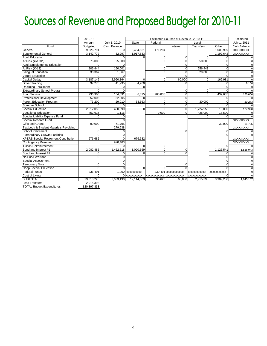# Sources of Revenue and Proposed Budget for 2010-11

|                                                   | 2010-11         |              |                   | Estimated                |                     |              |                |                  |
|---------------------------------------------------|-----------------|--------------|-------------------|--------------------------|---------------------|--------------|----------------|------------------|
|                                                   | Amount          | July 1, 2010 | <b>State</b>      | Federal                  |                     | Local        | July 1, 2011   |                  |
| Fund                                              | <b>Budgeted</b> | Cash Balance |                   |                          | Interest            | Transfers    | Other          | Cash Balance     |
| General                                           | 9.626.794       |              | 8,454,531         | 171.294                  |                     | $\Omega$     | 1.000.969      | <b>XXXXXXXXX</b> |
| <b>Supplemental General</b>                       | 3,142,772       | 32,297       | 1,917,833         |                          |                     |              | 1,192,642      | XXXXXXXX         |
| <b>Adult Education</b>                            |                 |              |                   |                          | O                   | $\Omega$     | $\Omega$       | $\Omega$         |
| At Risk (4yr Old)                                 | 75,000          | 25,000       |                   | $\Omega$                 | $\Omega$            | 50,000       | $\Omega$       | $\overline{0}$   |
| <b>Adult Supplemental Education</b>               |                 |              |                   |                          | $\Omega$            |              | $\Omega$       | $\Omega$         |
| At Risk (K-12)                                    | 806,444         | 150,001      |                   | 0                        | $\Omega$            | 656,443      | $\Omega$       | $\Omega$         |
| <b>Bilingual Education</b>                        | 30,367          | 1,367        |                   | O                        | $\Omega$            | 29,000       | $\Omega$       | $\overline{0}$   |
| <b>Virtual Education</b>                          |                 |              |                   |                          | $\Omega$            | 0            | $\Omega$       | $\Omega$         |
| Capital Outlay                                    | 3,187,145       | 2,960,164    |                   | $\Omega$                 | 60,000              | $\Omega$     | 166,981        | $\Omega$         |
| <b>Driver Training</b>                            | 37,275          | 41,235       | 4,200             |                          | $\Omega$            | $\Omega$     | $\Omega$       | 8,160            |
| <b>Declining Enrollment</b>                       | $\Omega$        | 0            |                   |                          |                     |              | $\Omega$       | $\Omega$         |
| <b>Extraordinary School Program</b>               |                 |              |                   |                          | $\Omega$            | U            | $\Omega$       | $\Omega$         |
| <b>Food Service</b>                               | 736,900         | 154,591      | 6,825             | 285,835                  | $\Omega$            | $\Omega$     | 439,655        | 150,006          |
| <b>Professional Development</b>                   | 52,005          | 52,005       | $\Omega$          | U                        | $\Omega$            | U            | $\Omega$       | $\Omega$         |
| Parent Education Program                          | 73,200          | 29,910       | 33,563            | $\Omega$                 | $\Omega$            | 30,000       | $\Omega$       | 20,273           |
| <b>Summer School</b>                              |                 |              |                   | 0                        | 0                   |              | $\Omega$       | $\Omega$         |
| <b>Special Education</b>                          | 2,012,050       | 400,090      | $\Omega$          | U                        | $\Omega$            | 1,724,950    | 15,000         | 127,990          |
| <b>Vocational Education</b>                       | 452,616         | 1,116        |                   | 9,000                    | $\Omega$            | 425,000      | 17,500         | $\Omega$         |
| Special Liability Expense Fund                    | $\Omega$        |              |                   |                          |                     | $\Omega$     | $\Omega$       | $\Omega$         |
| Special Reserve Fund                              |                 |              |                   |                          |                     |              |                | <b>XXXXXXXXX</b> |
| <b>Gifts and Grants</b>                           | 90,000          | 71,795       |                   |                          |                     |              | 30,000         | 11,795           |
| <b>Textbook &amp; Student Materials Revolving</b> |                 | 279,638      |                   |                          |                     |              |                | XXXXXXXX         |
| <b>School Retirement</b>                          |                 |              |                   |                          |                     |              | $\overline{0}$ | $\Omega$         |
| <b>Extraordinary Growth Facilities</b>            | $\Omega$        |              |                   |                          |                     |              | $\Omega$       | $\Omega$         |
| <b>KPERS Special Retirement Contribution</b>      | 676,682         |              | 676,682           |                          |                     |              |                | XXXXXXXXX        |
| <b>Contingency Reserve</b>                        |                 | 970,463      |                   |                          |                     |              |                | XXXXXXXXX        |
| <b>Tuition Reimbursement</b>                      |                 |              |                   |                          |                     |              | $\Omega$       | $\Omega$         |
| Bond and Interest #1                              | 2.082.485       | 1,462,518    | 1.020.369         | O                        |                     |              | 1.126.541      | 1,526,943        |
| Bond and Interest #2                              | $\Omega$        | O            | $\Omega$          | $\Omega$                 |                     |              | $\Omega$       | $\Omega$         |
| No Fund Warrant                                   | $\Omega$        |              |                   |                          |                     |              | $\Omega$       | $\overline{0}$   |
| <b>Special Assessment</b>                         |                 |              |                   |                          |                     |              | $\Omega$       | $\Omega$         |
| <b>Temporary Note</b>                             | $\Omega$        |              |                   |                          |                     |              | $\Omega$       | $\Omega$         |
| Coop Special Education                            | $\Omega$        |              | $\Omega$          |                          |                     | $\Omega$     | $\Omega$       | $\Omega$         |
| <b>Federal Funds</b>                              | 231,491         |              | 1.000 xxxxxxxxxxx |                          | 230,491 xxxxxxxxxxx | XXXXXXXXXXX  | XXXXXXXXXX     | $\Omega$         |
| Cost of Living                                    | $\Omega$        |              | 0 XXXXXXXXXX      | XXXXXXXXXXX XXXXXXXXXXXX |                     | XXXXXXXXXXXX | $\Omega$       | $\Omega$         |
| <b>SUBTOTAL</b>                                   | 23,313,226      | 6.633.190    | 12.114.003        | 696.620                  | 60.000              | 2,915,393    | 3.989.288      | 1,845,167        |
| <b>Less Transfers</b>                             | 2,915,393       |              |                   |                          |                     |              |                |                  |
| <b>TOTAL Budget Expenditures</b>                  | \$20,397,833    |              |                   |                          |                     |              |                |                  |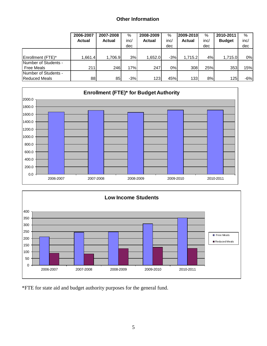#### **Other Information**

|                      | 2006-2007     | 2007-2008     | %     | 2008-2009     | %     | 2009-2010     | %    | 2010-2011     | $\%$  |
|----------------------|---------------|---------------|-------|---------------|-------|---------------|------|---------------|-------|
|                      | <b>Actual</b> | <b>Actual</b> | inc/  | <b>Actual</b> | inc/  | <b>Actual</b> | inc/ | <b>Budget</b> | inc/  |
|                      |               |               | dec   |               | dec   |               | dec  |               | dec   |
|                      |               |               |       |               |       |               |      |               |       |
| Enrollment (FTE)*    | 1.661.4       | 1.706.9       | 3%    | 1.652.0       | $-3%$ | 1.715.2       | 4%   | 1,715.0       | 0%    |
| Number of Students - |               |               |       |               |       |               |      |               |       |
| <b>Free Meals</b>    | 211           | 246           | 17%   | 247           | 0%    | 308           | 25%  | 353           | 15%   |
| Number of Students - |               |               |       |               |       |               |      |               |       |
| <b>Reduced Meals</b> | 88            | 85            | $-3%$ | 123           | 45%   | 133           | 8%   | 125           | $-6%$ |





\*FTE for state aid and budget authority purposes for the general fund.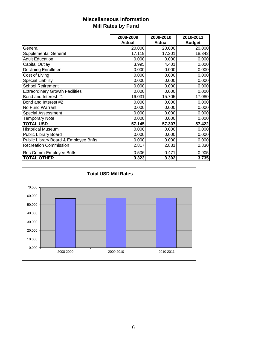### **Miscellaneous Information Mill Rates by Fund**

|                                        | 2008-2009     | 2009-2010     | 2010-2011     |
|----------------------------------------|---------------|---------------|---------------|
|                                        | <b>Actual</b> | <b>Actual</b> | <b>Budget</b> |
| General                                | 20.000        | 20.000        | 20.000        |
| <b>Supplemental General</b>            | 17.119        | 17.201        | 18.342        |
| <b>Adult Education</b>                 | 0.000         | 0.000         | 0.000         |
| <b>Capital Outlay</b>                  | 3.995         | 4.401         | 2.000         |
| <b>Declining Enrollment</b>            | 0.000         | 0.000         | 0.000         |
| Cost of Living                         | 0.000         | 0.000         | 0.000         |
| <b>Special Liability</b>               | 0.000         | 0.000         | 0.000         |
| <b>School Retirement</b>               | 0.000         | 0.000         | 0.000         |
| <b>Extraordinary Growth Facilities</b> | 0.000         | 0.000         | 0.000         |
| Bond and Interest #1                   | 16.031        | 15.705        | 17.080        |
| Bond and Interest #2                   | 0.000         | 0.000         | 0.000         |
| No Fund Warrant                        | 0.000         | 0.000         | 0.000         |
| <b>Special Assessment</b>              | 0.000         | 0.000         | 0.000         |
| <b>Temporary Note</b>                  | 0.000         | 0.000         | 0.000         |
| <b>TOTAL USD</b>                       | 57.145        | 57.307        | 57.422        |
| <b>Historical Museum</b>               | 0.000         | 0.000         | 0.000         |
| Public Library Board                   | 0.000         | 0.000         | 0.000         |
| Public Library Board & Employee Bnfts  | 0.000         | 0.000         | 0.000         |
| <b>Recreation Commission</b>           | 2.817         | 2.831         | 2.830         |
| Rec Comm Employee Bnfts                | 0.506         | 0.471         | 0.905         |
| <b>TOTAL OTHER</b>                     | 3.323         | 3.302         | 3.735         |

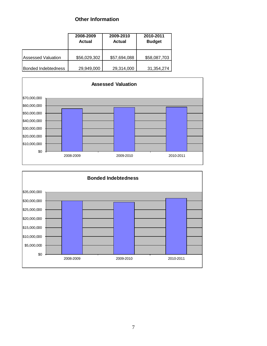### **Other Information**

|                            | 2008-2009<br><b>Actual</b> | 2009-2010<br><b>Actual</b> | 2010-2011<br><b>Budget</b> |
|----------------------------|----------------------------|----------------------------|----------------------------|
| <b>Assessed Valuation</b>  | \$56,029,302               | \$57,694,088               | \$58,087,703               |
| <b>Bonded Indebtedness</b> | 29,949,000                 | 29,314,000                 | 31,354,274                 |



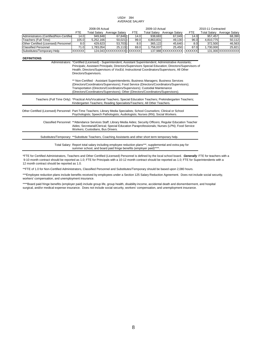#### USD# 394 AVERAGE SALARY

|                                             | 2008-09 Actual   |              |                    |         | 2009-10 Actual |                    | 2010-11 Contracted |              |                    |
|---------------------------------------------|------------------|--------------|--------------------|---------|----------------|--------------------|--------------------|--------------|--------------------|
|                                             | FTE              | Total Salarv | Average Salary     | FTE     | Total Salarv   | Average Salary     | FTE                | Total Salarv | Average Salary     |
| Administrators (Certified/Non-Certified     | 14.0             | 949.848      | 67.846             | 14.0    | 938.683        | 67.049             | 14.0               | 957.457      | 68,390             |
| Teachers (Full Time)                        | 105.0            | 5.252.166    | 50.021             | 99.0    | 4.863.831      | 49,130             | 96.0               | 4.810.775    | 50.112             |
| <b>Other Certified (Licensed) Personnel</b> | 8.0 <sub>l</sub> | 429.623      | 53.703             | 8.0     | 365.122        | 45.640             | 8.0 <sub>1</sub>   | 372.500      | 46,563             |
| <b>Classified Personnel</b>                 | 71.OI            | .783.054     | 25.113             | 69.0    | .756.037       | 25.450             | 67.0               | 1.730.000    | 25.821             |
| Substitutes/Temporary Help                  | <b>XXXXXXI</b>   |              | 124.043 XXXXXXXXXX | XXXXXXI |                | 137.988 XXXXXXXXXX | XXXXXX             |              | 131.000 XXXXXXXXXX |

#### **DEFINITIONS**

Administrators: \*Certified (Licensed) - Superintendent; Assistant Superintendent; Administrative Assistants; Principals; Assistant Principals; Directors/Supervisors Special Education; Directors/Supervisors of Health; Directors/Supervisors of VocEd; Instructional Coordinators/Supervisors; All Other Directors/Supervisors.

> \*\* Non-Certified - Assistant Superintendents; Business Managers; Business Services (Directors/Coordinators/Supervisors); Food Service (Directors/Coordinators/Supervisors); Transportation (Directors/Coordinators/Supervisors); Custodial Maintenance (Directors/Coordinators/Supervisors); Other (Directors/Coordinators/Supervisors).

Teachers (Full Time Only): \*Practical Arts/Vocational Teachers; Special Education Teachers; Prekindergarten Teachers; Kindergarten Teachers; Reading Specialists/Teachers; All Other Teachers.

Other Certified (Licensed) Personnel: Part-Time Teachers; Library Media Specialists; School Counselors; Clinical or School Psychologists; Speech Pathologists; Audiologists; Nurses (RN); Social Workers.

> Classified Personnel: \*\*Attendance Services Staff; Library Media Aides; Security Officers; Regular Education Teacher Aides; Secretarial/Clerical; Special Education Paraprofessionals; Nurses (LPN); Food Service Workers; Custodians, Bus Drivers.

Substitutes/Temporary: \*\*Substitute Teachers, Coaching Assistants and other short term temporary help.

Total Salary: Report total salary including employee reduction plans\*\*\*, supplemental and extra pay for summer school, and board paid fringe benefits (employer paid)\*\*\*\*

\*FTE for Certified Administrators, Teachers and Other Certified (Licensed) Personnel is defined by the local school board. *Generally* FTE for teachers with a 9-10 month contract should be reported as 1.0; FTE for Principals with a 10-12 month contract should be reported as 1.0; FTE for Superintendents with a 12 month contract should be reported as 1.0.

\*\*FTE of 1.0 for Non-Certified Administrators, Classified Personnel and Substitutes/Temporary should be based upon 2,080 hours.

\*\*\*Employee reduction plans include benefits received by employees under a Section 125 Salary Reduction Agreement. Does not include social security, workers' compensation, and unemployment insurance.

\*\*\*\*Board paid fringe benefits (employer paid) include group life, group health, disability income, accidental death and dismemberment, and hospital surgical, and/or medical expense insurance. Does not include social security, workers' compensation, and unemployment insurance.